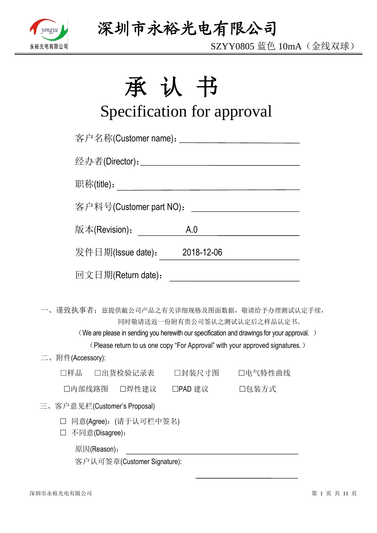

SZYY0805 蓝色 10mA(金线双球)

# 承认书

# Specification for approval

| 客户名称(Customer name): _____________________________ |               |                                                                                                                                                                                                           |  |
|----------------------------------------------------|---------------|-----------------------------------------------------------------------------------------------------------------------------------------------------------------------------------------------------------|--|
|                                                    |               |                                                                                                                                                                                                           |  |
| 职称(title):                                         |               |                                                                                                                                                                                                           |  |
| 客户料号(Customer part NO):                            |               | <u> Liste de la construcción de la construcción de la construcción de la construcción de la construcción de la c</u>                                                                                      |  |
| 版本(Revision) <b>:</b>                              | A.0           | <u> 1990 - Jan James James James James James James James James James James James James James James James James J</u>                                                                                      |  |
| 发件日期(Issue date):                                  | 2018-12-06    |                                                                                                                                                                                                           |  |
| 回文日期(Return date):                                 |               | <u> 1989 - Jan Stein Stein, fransk politik (f. 1918)</u>                                                                                                                                                  |  |
| 一、 谨致执事者: 兹提供敝公司产品之有关详细规格及图面数据,敬请给予办理测试认定手续,       |               | 同时敬请送返一份附有贵公司签认之测试认定后之样品认定书。<br>(We are please in sending you herewith our specification and drawings for your approval.)<br>(Please return to us one copy "For Approval" with your approved signatures.) |  |
| 二、附件(Accessory):                                   |               |                                                                                                                                                                                                           |  |
| □样品<br>□出货检验记录表                                    | □封装尺寸图        | 口电气特性曲线                                                                                                                                                                                                   |  |
| 口内部线路图 口焊性建议                                       | □PAD 建议 □包装方式 |                                                                                                                                                                                                           |  |
| 三、客户意见栏(Customer's Proposal)                       |               |                                                                                                                                                                                                           |  |
| □ 同意(Agree): (请于认可栏中签名)<br>不同意(Disagree):          |               |                                                                                                                                                                                                           |  |
| 原因(Reason):                                        |               |                                                                                                                                                                                                           |  |

客户认可签章(Customer Signature):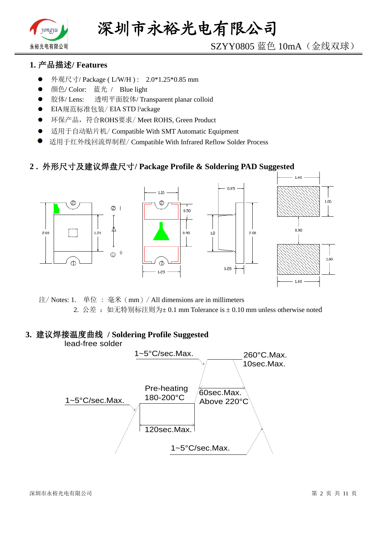

# SZYY0805 蓝色 10mA(金线双球)

# **1.** 产品描述**/ Features**

- 外观尺寸/ Package ( L/W/H ) : 2.0\*1.25\*0.85 mm
- 颜色/ Color: 蓝光 / Blue light
- 胶体/ Lens: 透明平面胶体/ Transparent planar colloid
- EIA规范标准包装/ EIA STD Package
- **●** 环保产品,符合ROHS要求/Meet ROHS, Green Product
- 适用于自动贴片机/ Compatible With SMT Automatic Equipment
- 适用于红外线回流焊制程/ Compatible With Infrared Reflow Solder Process

## **2 .** 外形尺寸及建议焊盘尺寸**/ Package Profile & Soldering PAD Suggested**



注/ Notes: 1. 单位 : 毫米(mm)/ All dimensions are in millimeters 2. 公差: 如无特别标注则为±0.1 mm Tolerance is ±0.10 mm unless otherwise noted

# **3.** 建议焊接温度曲线 **/ Soldering Profile Suggested**

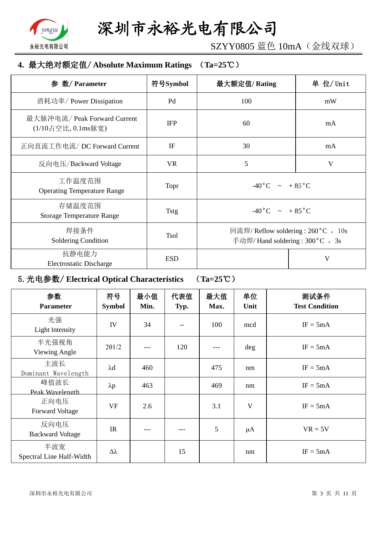

SZYY0805 蓝色 10mA(金线双球)

## **4.** 最大绝对额定值/ **Absolute Maximum Ratings** (**Ta=25**℃)

| 参 数/ Parameter                                     | 符号Symbol    | 最大额定值/Rating                                                             | 单 位/ Unit |
|----------------------------------------------------|-------------|--------------------------------------------------------------------------|-----------|
| 消耗功率/ Power Dissipation                            | Pd          | 100                                                                      | mW        |
| 最大脉冲电流/ Peak Forward Current<br>(1/10占空比, 0.1ms脉宽) | <b>IFP</b>  | 60                                                                       | mA        |
| 正向直流工作电流/DC Forward Current                        | IF          | 30                                                                       | mA        |
| 反向电压/Backward Voltage                              | <b>VR</b>   | 5                                                                        | V         |
| 工作温度范围<br><b>Operating Temperature Range</b>       | Topr        | $-40\degree C$ $\sim +85\degree C$                                       |           |
| 存储温度范围<br><b>Storage Temperature Range</b>         | Tstg        | $-40\degree C$ $\sim +85\degree C$                                       |           |
| 焊接条件<br>Soldering Condition                        | <b>Tsol</b> | 回流焊/ Reflow soldering : 260 °C , 10s<br>手动焊/ Hand soldering : 300 °C, 3s |           |
| 抗静电能力<br><b>Electrostatic Discharge</b>            | <b>ESD</b>  |                                                                          | V         |

# 5.光电参数/ **Electrical Optical Characteristics** (**Ta=25**℃)

| 参数<br><b>Parameter</b>          | 符号<br><b>Symbol</b> | 最小值<br>Min. | 代表值<br>Typ. | 最大值<br>Max. | 单位<br>Unit | 测试条件<br><b>Test Condition</b> |
|---------------------------------|---------------------|-------------|-------------|-------------|------------|-------------------------------|
| 光强<br>Light Intensity           | IV                  | 34          |             | 100         | mcd        | $IF = 5mA$                    |
| 半光强视角<br>Viewing Angle          | $2\theta$ 1/2       |             | 120         |             | deg        | $IF = 5mA$                    |
| 主波长<br>Dominant Wavelength      | $\lambda$ d         | 460         |             | 475         | nm         | $IF = 5mA$                    |
| 峰值波长<br>Peak Wavelength         | $\lambda p$         | 463         |             | 469         | nm         | $IF = 5mA$                    |
| 正向电压<br><b>Forward Voltage</b>  | <b>VF</b>           | 2.6         |             | 3.1         | V          | $IF = 5mA$                    |
| 反向电压<br><b>Backward Voltage</b> | IR                  | ---         |             | 5           | $\mu A$    | $VR = 5V$                     |
| 半波宽<br>Spectral Line Half-Width | $\Delta \lambda$    |             | 15          |             | nm         | $IF = 5mA$                    |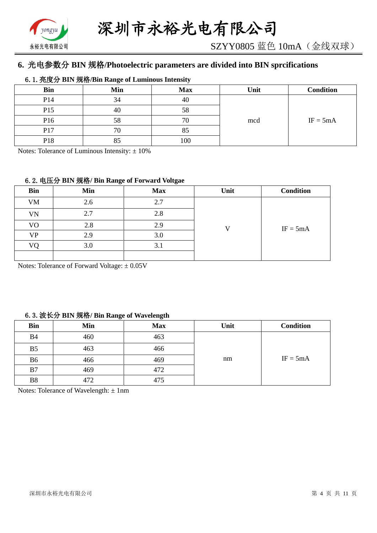

# **6.** 光电参数分 **BIN** 规格**/Photoelectric parameters are divided into BIN sprcifications**

#### 6.1.亮度分 **BIN** 规格**/Bin Range of Luminous Intensity**

| <b>Bin</b>      | Min | <b>Max</b> | Unit | <b>Condition</b> |
|-----------------|-----|------------|------|------------------|
| P14             | 34  | 40         |      |                  |
| P15             | 40  | 58         |      |                  |
| P <sub>16</sub> | 58  | 70         | mcd  | $IF = 5mA$       |
| P17             | 70  | 85         |      |                  |
| P18             | 85  | 100        |      |                  |

Notes: Tolerance of Luminous Intensity:  $\pm 10\%$ 

#### 6.2.电压分 **BIN** 规格**/ Bin Range of Forward Voltgae**

| <b>Bin</b>     | Min | <b>Max</b> | Unit | <b>Condition</b> |
|----------------|-----|------------|------|------------------|
| <b>VM</b>      | 2.6 | 2.7        |      |                  |
| VN             | 2.7 | 2.8        |      |                  |
| V <sub>O</sub> | 2.8 | 2.9        | T 7  | $IF = 5mA$       |
| VP             | 2.9 | 3.0        |      |                  |
| VO             | 3.0 | 3.1        |      |                  |
|                |     |            |      |                  |

Notes: Tolerance of Forward Voltage: ±0.05V

#### 6.3.波长分 **BIN** 规格**/ Bin Range of Wavelength**

| <b>Bin</b>     | Min | <b>Max</b> | Unit | <b>Condition</b> |
|----------------|-----|------------|------|------------------|
| <b>B4</b>      | 460 | 463        |      |                  |
| B <sub>5</sub> | 463 | 466        |      |                  |
| B <sub>6</sub> | 466 | 469        | nm   | $IF = 5mA$       |
| B7             | 469 | 472        |      |                  |
| <b>B8</b>      | 472 | 475        |      |                  |

Notes: Tolerance of Wavelength: ±1nm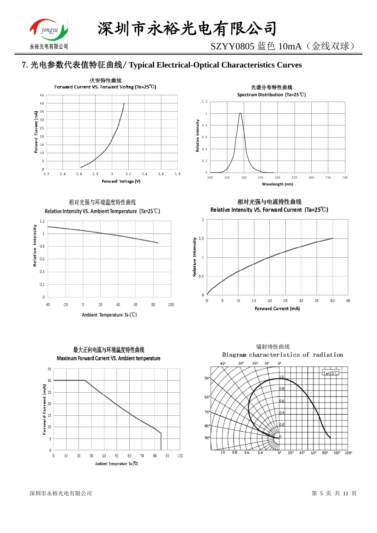

# 7.光电参数代表值特征曲线/ **Typical Electrical-Optical Characteristics Curves**





相对光强与环境温度特性曲线 Relative Intensity VS. Ambient Temperature (Ta=25°C)





相对光强与电流特性曲线 Relative Intensity VS. Forward Current (Ta=25°C)





深圳市永裕光电有限公司 第 5 页 共 11 页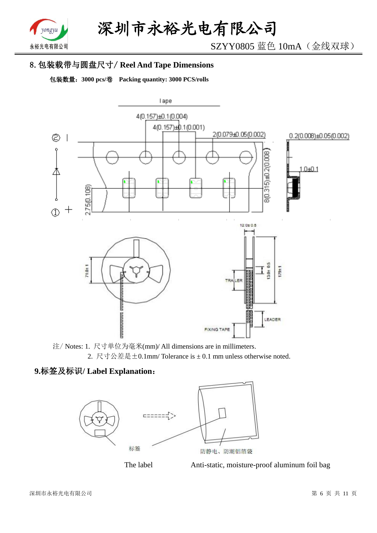

SZYY0805 蓝色 10mA(金线双球)

# 8.包装载带与圆盘尺寸/ **Reel And Tape Dimensions**

包装数量:**3000 pcs/**卷 **Packing quantity: 3000 PCS/rolls**



注/ Notes: 1. 尺寸单位为毫米(mm)/ All dimensions are in millimeters. 2. 尺寸公差是±0.1mm/ Tolerance is ± 0.1 mm unless otherwise noted.

# **9.**标签及标识**/ Label Explanation**:





The label **Anti-static**, moisture-proof aluminum foil bag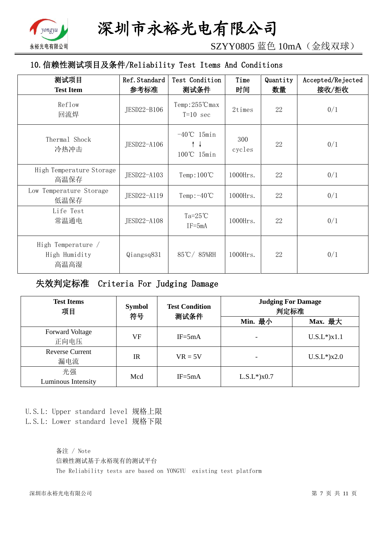

SZYY0805 蓝色 10mA(金线双球)

# 10.信赖性测试项目及条件/Reliability Test Items And Conditions

| 测试项目<br><b>Test Item</b>                    | Ref. Standard<br>参考标准 | Test Condition<br>测试条件                     | Time<br>时间    | Quantity<br>数量 | Accepted/Rejected<br>接收/拒收 |
|---------------------------------------------|-----------------------|--------------------------------------------|---------------|----------------|----------------------------|
| Reflow<br>回流焊                               | JESD22-B106           | $Temp:255^{\circ}C$ max<br>$T=10$ sec      | 2times        | 22             | 0/1                        |
| Thermal Shock<br>冷热冲击                       | JESD22-A106           | $-40^{\circ}$ C 15min<br>↑↓<br>100°C 15min | 300<br>cycles | 22             | 0/1                        |
| High Temperature Storage<br>高温保存            | JESD22-A103           | $Temp:100^{\circ}C$                        | $1000$ Hrs.   | 22             | 0/1                        |
| Low Temperature Storage<br>低温保存             | JESD22-A119           | Temp: $-40^{\circ}$ C                      | 1000Hrs.      | 22             | 0/1                        |
| Life Test<br>常温通电                           | JESD22-A108           | $Ta=25^{\circ}C$<br>$IF = 5mA$             | 1000Hrs.      | 22             | 0/1                        |
| High Temperature /<br>High Humidity<br>高温高湿 | Qiangsq831            | 85℃/85%RH                                  | 1000Hrs.      | 22             | 0/1                        |

失效判定标准 Criteria For Judging Damage

| <b>Test Items</b><br>项目        | <b>Symbol</b><br>符号 | <b>Test Condition</b><br>测试条件 | <b>Judging For Damage</b><br>判定标准 |                    |  |
|--------------------------------|---------------------|-------------------------------|-----------------------------------|--------------------|--|
|                                |                     |                               | Min. 最小                           | Max. 最大            |  |
| <b>Forward Voltage</b><br>正向电压 | VF                  | $IF = 5mA$                    |                                   | $U.S.L^*$ ) $x1.1$ |  |
| <b>Reverse Current</b><br>漏电流  | $_{\rm IR}$         | $VR = 5V$                     |                                   | $U.S.L*$ )x2.0     |  |
| 光强<br>Luminous Intensity       | Mcd                 | $IF = 5mA$                    | $L.S.L*$ ) $x0.7$                 |                    |  |

U.S.L: Upper standard level 规格上限 L.S.L: Lower standard level 规格下限

> 备注 / Note 信赖性测试基于永裕现有的测试平台 The Reliability tests are based on YONGYU existing test platform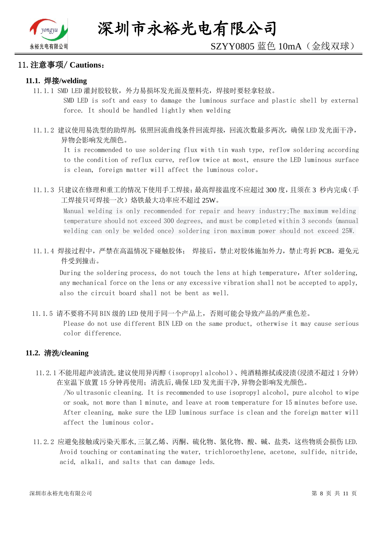

#### 11.注意事项/ **Cautions**:

#### **11.1.** 焊接**/welding**

11.1.1 SMD LED 灌封胶较软,外力易损坏发光面及塑料壳,焊接时要轻拿轻放。

SMD LED is soft and easy to damage the luminous surface and plastic shell by external force. It should be handled lightly when welding

11.1.2 建议使用易洗型的助焊剂,依照回流曲线条件回流焊接,回流次数最多两次,确保 LED 发光面干净, 异物会影响发光颜色。

It is recommended to use soldering flux with tin wash type, reflow soldering according to the condition of reflux curve, reflow twice at most, ensure the LED luminous surface is clean, foreign matter will affect the luminous color。

11.1.3 只建议在修理和重工的情况下使用手工焊接;最高焊接温度不应超过 300 度,且须在 3 秒内完成(手 工焊接只可焊接一次)烙铁最大功率应不超过 25W。

Manual welding is only recommended for repair and heavy industry;The maximum welding temperature should not exceed 300 degrees, and must be completed within 3 seconds (manual welding can only be welded once) soldering iron maximum power should not exceed 25W.

11.1.4 焊接过程中,严禁在高温情况下碰触胶体; 焊接后,禁止对胶体施加外力,禁止弯折 PCB,避免元 件受到撞击。

During the soldering process, do not touch the lens at high temperature, After soldering, any mechanical force on the lens or any excessive vibration shall not be accepted to apply, also the circuit board shall not be bent as well.

11.1.5 请不要将不同 BIN 级的 LED 使用于同一个产品上,否则可能会导致产品的严重色差。

Please do not use different BIN LED on the same product, otherwise it may cause serious color difference.

#### **11.2.** 清洗**/cleaning**

11.2.1 不能用超声波清洗,建议使用异丙醇(isopropyl alcohol)、纯酒精擦拭或浸渍(浸渍不超过 1 分钟) 在室温下放置 15 分钟再使用;清洗后,确保 LED 发光面干净,异物会影响发光颜色。

/No ultrasonic cleaning. It is recommended to use isopropyl alcohol, pure alcohol to wipe or soak, not more than 1 minute, and leave at room temperature for 15 minutes before use. After cleaning, make sure the LED luminous surface is clean and the foreign matter will affect the luminous color。

11.2.2 应避免接触或污染天那水,三氯乙烯、丙酮、硫化物、氮化物、酸、碱、盐类,这些物质会损伤 LED. Avoid touching or contaminating the water, trichloroethylene, acetone, sulfide, nitride, acid, alkali, and salts that can damage leds.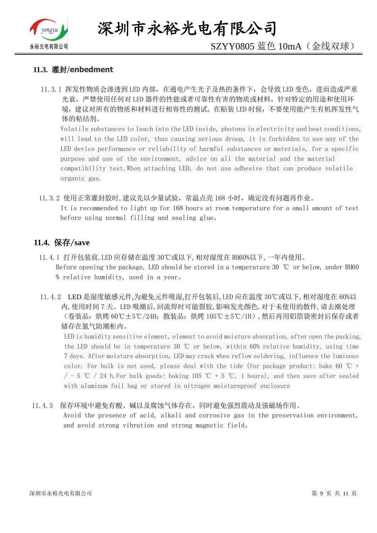

深圳市永裕光电有限公司

# SZYY0805 蓝色 10mA(金线双球)

#### **11.3.** 灌封/**enbedment**

11.3.1 挥发性物质会渗透到 LED 内部, 在通电产生光子及热的条件下, 会导致 LED 变色, 进而造成严重 光衰,严禁使用任何对 LED 器件的性能或者可靠性有害的物质或材料,针对特定的用途和使用环 境,建议对所有的物质和材料进行相容性的测试。在贴装 LED 时候,不要使用能产生有机挥发性气 体的粘结剂。

Volatile substances to leach into the LED inside, photons in electricity and heat conditions, will lead to the LED color, thus causing serious droop, it is forbidden to use any of the LED device performance or reliability of harmful substances or materials, for a specific purpose and use of the environment, advice on all the material and the material compatibility test.When attaching LED, do not use adhesive that can produce volatile organic gas.

11.3.2 使用正常灌封胶时,建议先以少量试验,常温点亮 168 小时,确定没有问题再作业。 It is recommended to light up for 168 hours at room temperature for a small amount of test before using normal filling and sealing glue。

#### **11.4.** 保存/**save**

- 11.4.1 打开包装前,LED 应存储在温度 30℃或以下,相对湿度在 RH60%以下,一年内使用。 Before opening the package, LED should be stored in a temperature 30 ℃ or below, under RH60 % relative humidity, used in a year。
- 11.4.2 LED 是湿度敏感元件,为避免元件吸湿,打开包装后,LED 应在温度 30℃或以下,相对湿度在 60%以 内,使用时间 7 天。LED 吸潮后,回流焊时可能裂胶,影响发光颜色.对于未使用的散件,请去潮处理 (卷装品:烘烤 60℃±5℃/24H;散装品:烘烤 105℃±5℃/1H),然后再用铝箔袋密封后保存或者 储存在氮气防潮柜内。

LED is humidity sensitive element, element to avoid moisture absorption, after open the packing, the LED should be in temperature 30 ℃ or below, within 60% relative humidity, using time 7 days. After moisture absorption, LED may crack when reflow soldering, influence the luminous color. For bulk is not used, please deal with the tide (for package product: bake 60  $\degree$ C +  $/$  - 5 ℃ / 24 h. For bulk goods: baking 105 ℃ + 5 ℃, 1 hours), and then save after sealed with aluminum foil bag or stored in nitrogen moistureproof enclosure

#### 11.4.3 保存环境中避免有酸、碱以及腐蚀气体存在,同时避免强烈震动及强磁场作用。

Avoid the presence of acid, alkali and corrosive gas in the preservation environment, and avoid strong vibration and strong magnetic field。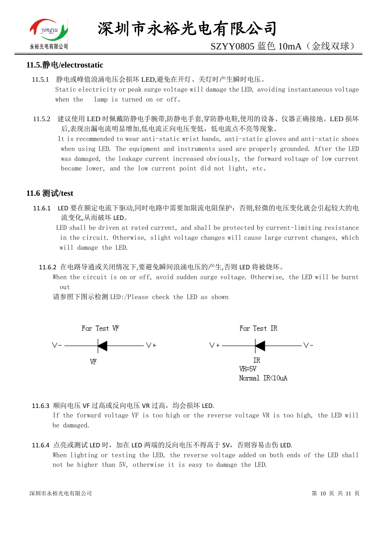

# SZYY0805 蓝色 10mA(金线双球)

#### **11.5.**静电**/electrostatic**

- 11.5.1 静电或峰值浪涌电压会损坏 LED,避免在开灯、关灯时产生瞬时电压。 Static electricity or peak surge voltage will damage the LED, avoiding instantaneous voltage when the lamp is turned on or off。
- 11.5.2 建议使用 LED 时佩戴防静电手腕带,防静电手套,穿防静电鞋,使用的设备、仪器正确接地。LED 损坏 后,表现出漏电流明显增加,低电流正向电压变低,低电流点不亮等现象。

 It is recommended to wear anti-static wrist bands, anti-static gloves and anti-static shoes when using LED. The equipment and instruments used are properly grounded. After the LED was damaged, the leakage current increased obviously, the forward voltage of low current became lower, and the low current point did not light, etc。

## **11.6** 测试**/test**

11.6.1 LED 要在额定电流下驱动,同时电路中需要加限流电阻保护;否则,轻微的电压变化就会引起较大的电 流变化,从而破坏 LED。

 LED shall be driven at rated current, and shall be protected by current-limiting resistance in the circuit. Otherwise, slight voltage changes will cause large current changes, which will damage the LED.

11.6.2 在电路导通或关闭情况下,要避免瞬间浪涌电压的产生,否则 LED 将被烧坏。

 When the circuit is on or off, avoid sudden surge voltage. Otherwise, the LED will be burnt out

请参照下图示检测 LED:/Please check the LED as shown



11.6.3 顺向电压 VF 过高或反向电压 VR 过高, 均会损坏 LED.

If the forward voltage VF is too high or the reverse voltage VR is too high, the LED will be damaged.

#### 11.6.4 点亮或测试 LED 时,加在 LED 两端的反向电压不得高于 5V,否则容易击伤 LED. When lighting or testing the LED, the reverse voltage added on both ends of the LED shall not be higher than 5V, otherwise it is easy to damage the LED.